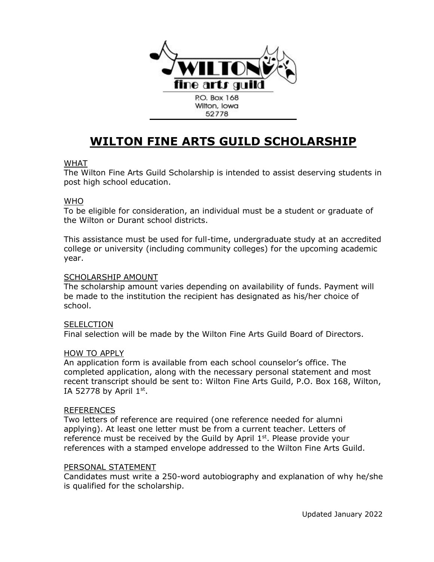

# **WILTON FINE ARTS GUILD SCHOLARSHIP**

### WHAT

The Wilton Fine Arts Guild Scholarship is intended to assist deserving students in post high school education.

#### WHO

To be eligible for consideration, an individual must be a student or graduate of the Wilton or Durant school districts.

This assistance must be used for full-time, undergraduate study at an accredited college or university (including community colleges) for the upcoming academic year.

#### SCHOLARSHIP AMOUNT

The scholarship amount varies depending on availability of funds. Payment will be made to the institution the recipient has designated as his/her choice of school.

#### **SELELCTION**

Final selection will be made by the Wilton Fine Arts Guild Board of Directors.

#### HOW TO APPLY

An application form is available from each school counselor's office. The completed application, along with the necessary personal statement and most recent transcript should be sent to: Wilton Fine Arts Guild, P.O. Box 168, Wilton, IA 52778 by April  $1<sup>st</sup>$ .

#### REFERENCES

Two letters of reference are required (one reference needed for alumni applying). At least one letter must be from a current teacher. Letters of reference must be received by the Guild by April  $1<sup>st</sup>$ . Please provide your references with a stamped envelope addressed to the Wilton Fine Arts Guild.

#### PERSONAL STATEMENT

Candidates must write a 250-word autobiography and explanation of why he/she is qualified for the scholarship.